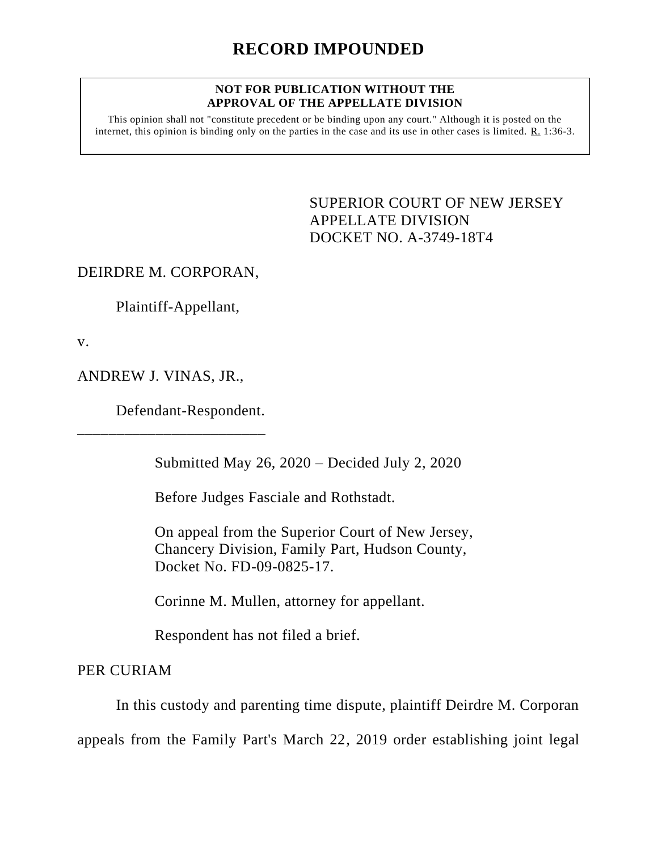## **NOT FOR PUBLICATION WITHOUT THE APPROVAL OF THE APPELLATE DIVISION**

This opinion shall not "constitute precedent or be binding upon any court." Although it is posted on the internet, this opinion is binding only on the parties in the case and its use in other cases is limited. R. 1:36-3.

> <span id="page-0-0"></span>SUPERIOR COURT OF NEW JERSEY APPELLATE DIVISION DOCKET NO. A-3749-18T4

DEIRDRE M. CORPORAN,

Plaintiff-Appellant,

v.

ANDREW J. VINAS, JR.,

\_\_\_\_\_\_\_\_\_\_\_\_\_\_\_\_\_\_\_\_\_\_\_\_

Defendant-Respondent.

Submitted May 26, 2020 – Decided July 2, 2020

Before Judges Fasciale and Rothstadt.

On appeal from the Superior Court of New Jersey, Chancery Division, Family Part, Hudson County, Docket No. FD-09-0825-17.

Corinne M. Mullen, attorney for appellant.

Respondent has not filed a brief.

PER CURIAM

In this custody and parenting time dispute, plaintiff Deirdre M. Corporan

appeals from the Family Part's March 22, 2019 order establishing joint legal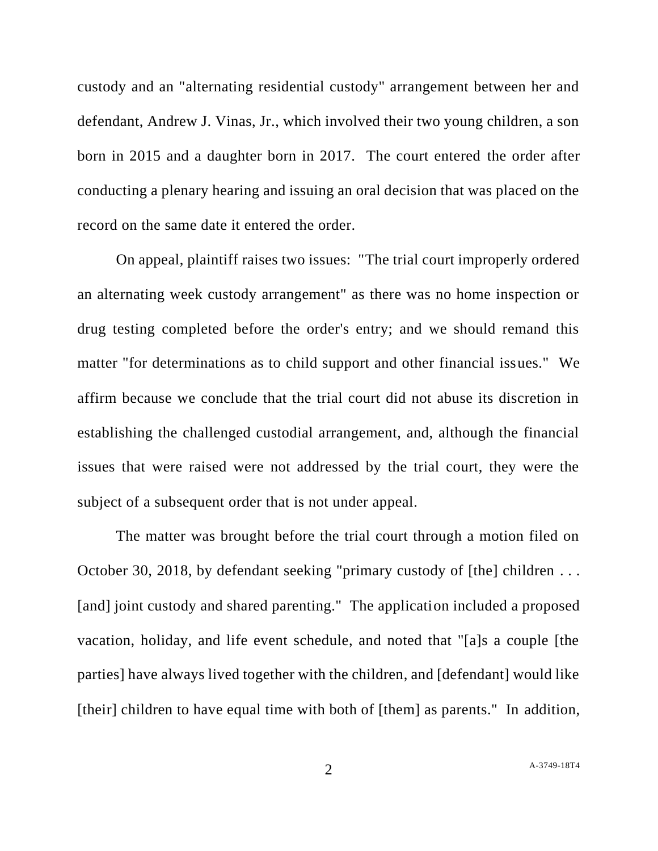custody and an "alternating residential custody" arrangement between her and defendant, Andrew J. Vinas, Jr., which involved their two young children, a son born in 2015 and a daughter born in 2017. The court entered the order after conducting a plenary hearing and issuing an oral decision that was placed on the record on the same date it entered the order.

On appeal, plaintiff raises two issues: "The trial court improperly ordered an alternating week custody arrangement" as there was no home inspection or drug testing completed before the order's entry; and we should remand this matter "for determinations as to child support and other financial issues." We affirm because we conclude that the trial court did not abuse its discretion in establishing the challenged custodial arrangement, and, although the financial issues that were raised were not addressed by the trial court, they were the subject of a subsequent order that is not under appeal.

The matter was brought before the trial court through a motion filed on October 30, 2018, by defendant seeking "primary custody of [the] children . . . [and] joint custody and shared parenting." The application included a proposed vacation, holiday, and life event schedule, and noted that "[a]s a couple [the parties] have always lived together with the children, and [defendant] would like [their] children to have equal time with both of [them] as parents." In addition,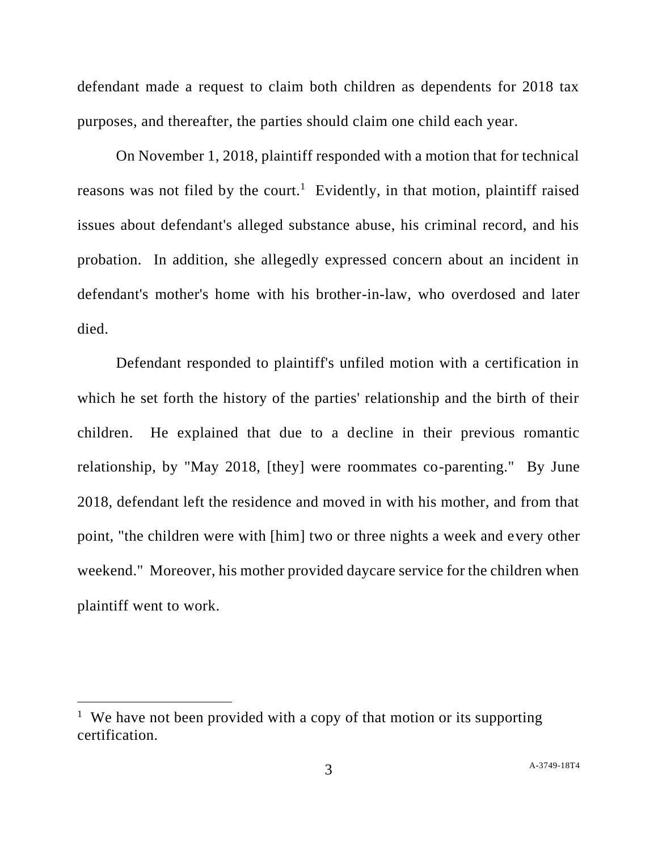defendant made a request to claim both children as dependents for 2018 tax purposes, and thereafter, the parties should claim one child each year.

On November 1, 2018, plaintiff responded with a motion that for technical reasons was not filed by the court.<sup>1</sup> Evidently, in that motion, plaintiff raised issues about defendant's alleged substance abuse, his criminal record, and his probation. In addition, she allegedly expressed concern about an incident in defendant's mother's home with his brother-in-law, who overdosed and later died.

Defendant responded to plaintiff's unfiled motion with a certification in which he set forth the history of the parties' relationship and the birth of their children. He explained that due to a decline in their previous romantic relationship, by "May 2018, [they] were roommates co-parenting." By June 2018, defendant left the residence and moved in with his mother, and from that point, "the children were with [him] two or three nights a week and every other weekend." Moreover, his mother provided daycare service for the children when plaintiff went to work.

<sup>&</sup>lt;sup>1</sup> We have not been provided with a copy of that motion or its supporting certification.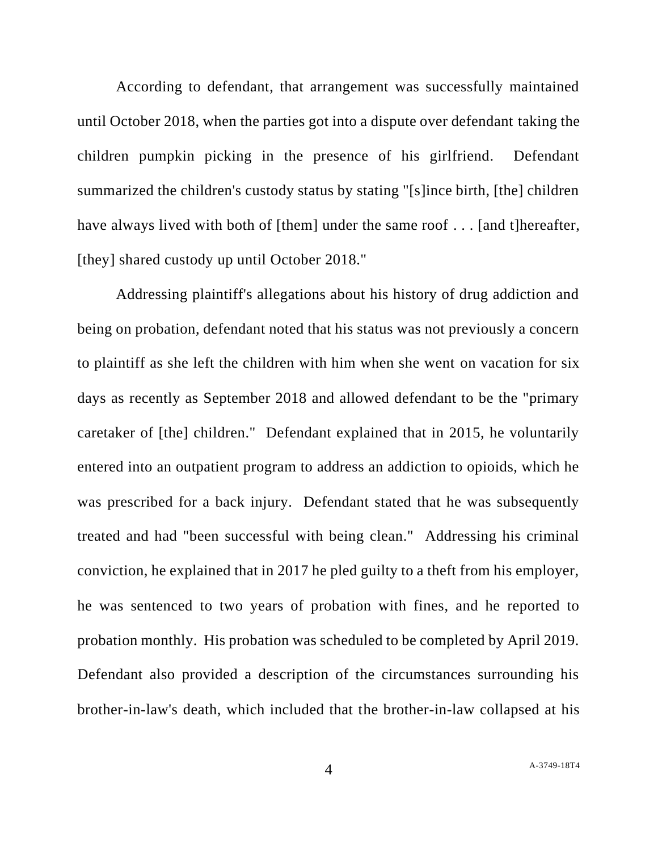According to defendant, that arrangement was successfully maintained until October 2018, when the parties got into a dispute over defendant taking the children pumpkin picking in the presence of his girlfriend. Defendant summarized the children's custody status by stating "[s]ince birth, [the] children have always lived with both of [them] under the same roof . . . [and t] hereafter, [they] shared custody up until October 2018."

Addressing plaintiff's allegations about his history of drug addiction and being on probation, defendant noted that his status was not previously a concern to plaintiff as she left the children with him when she went on vacation for six days as recently as September 2018 and allowed defendant to be the "primary caretaker of [the] children." Defendant explained that in 2015, he voluntarily entered into an outpatient program to address an addiction to opioids, which he was prescribed for a back injury. Defendant stated that he was subsequently treated and had "been successful with being clean." Addressing his criminal conviction, he explained that in 2017 he pled guilty to a theft from his employer, he was sentenced to two years of probation with fines, and he reported to probation monthly. His probation was scheduled to be completed by April 2019. Defendant also provided a description of the circumstances surrounding his brother-in-law's death, which included that the brother-in-law collapsed at his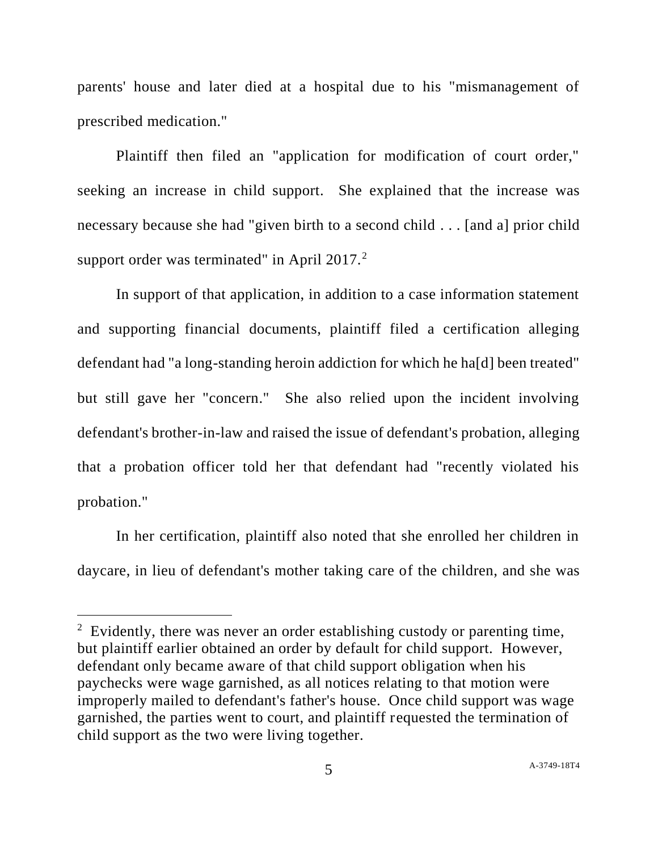parents' house and later died at a hospital due to his "mismanagement of prescribed medication."

Plaintiff then filed an "application for modification of court order," seeking an increase in child support. She explained that the increase was necessary because she had "given birth to a second child . . . [and a] prior child support order was terminated" in April 2017. $2$ 

In support of that application, in addition to a case information statement and supporting financial documents, plaintiff filed a certification alleging defendant had "a long-standing heroin addiction for which he ha[d] been treated" but still gave her "concern." She also relied upon the incident involving defendant's brother-in-law and raised the issue of defendant's probation, alleging that a probation officer told her that defendant had "recently violated his probation."

In her certification, plaintiff also noted that she enrolled her children in daycare, in lieu of defendant's mother taking care of the children, and she was

<sup>&</sup>lt;sup>2</sup> Evidently, there was never an order establishing custody or parenting time, but plaintiff earlier obtained an order by default for child support. However, defendant only became aware of that child support obligation when his paychecks were wage garnished, as all notices relating to that motion were improperly mailed to defendant's father's house. Once child support was wage garnished, the parties went to court, and plaintiff requested the termination of child support as the two were living together.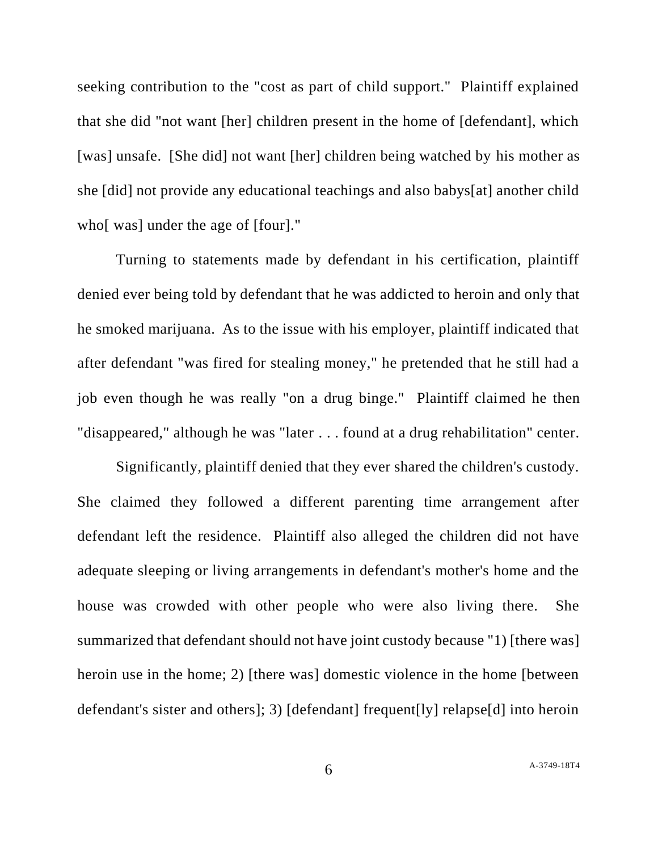seeking contribution to the "cost as part of child support." Plaintiff explained that she did "not want [her] children present in the home of [defendant], which [was] unsafe. [She did] not want [her] children being watched by his mother as she [did] not provide any educational teachings and also babys[at] another child who [was] under the age of [four]."

Turning to statements made by defendant in his certification, plaintiff denied ever being told by defendant that he was addicted to heroin and only that he smoked marijuana. As to the issue with his employer, plaintiff indicated that after defendant "was fired for stealing money," he pretended that he still had a job even though he was really "on a drug binge." Plaintiff claimed he then "disappeared," although he was "later . . . found at a drug rehabilitation" center.

Significantly, plaintiff denied that they ever shared the children's custody. She claimed they followed a different parenting time arrangement after defendant left the residence. Plaintiff also alleged the children did not have adequate sleeping or living arrangements in defendant's mother's home and the house was crowded with other people who were also living there. She summarized that defendant should not have joint custody because "1) [there was] heroin use in the home; 2) [there was] domestic violence in the home [between] defendant's sister and others]; 3) [defendant] frequent[ly] relapse[d] into heroin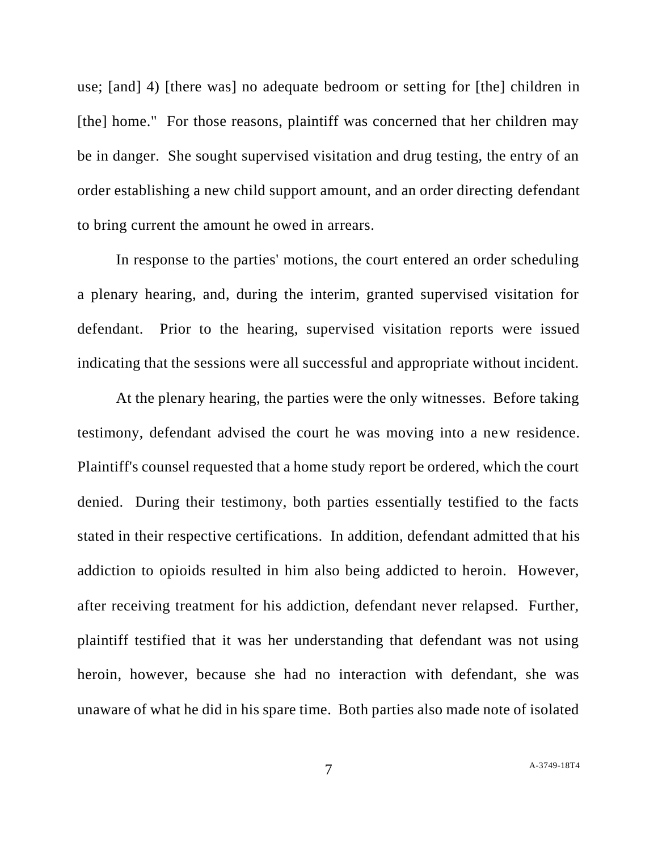use; [and] 4) [there was] no adequate bedroom or setting for [the] children in [the] home." For those reasons, plaintiff was concerned that her children may be in danger. She sought supervised visitation and drug testing, the entry of an order establishing a new child support amount, and an order directing defendant to bring current the amount he owed in arrears.

In response to the parties' motions, the court entered an order scheduling a plenary hearing, and, during the interim, granted supervised visitation for defendant. Prior to the hearing, supervised visitation reports were issued indicating that the sessions were all successful and appropriate without incident.

At the plenary hearing, the parties were the only witnesses. Before taking testimony, defendant advised the court he was moving into a new residence. Plaintiff's counsel requested that a home study report be ordered, which the court denied. During their testimony, both parties essentially testified to the facts stated in their respective certifications. In addition, defendant admitted that his addiction to opioids resulted in him also being addicted to heroin. However, after receiving treatment for his addiction, defendant never relapsed. Further, plaintiff testified that it was her understanding that defendant was not using heroin, however, because she had no interaction with defendant, she was unaware of what he did in his spare time. Both parties also made note of isolated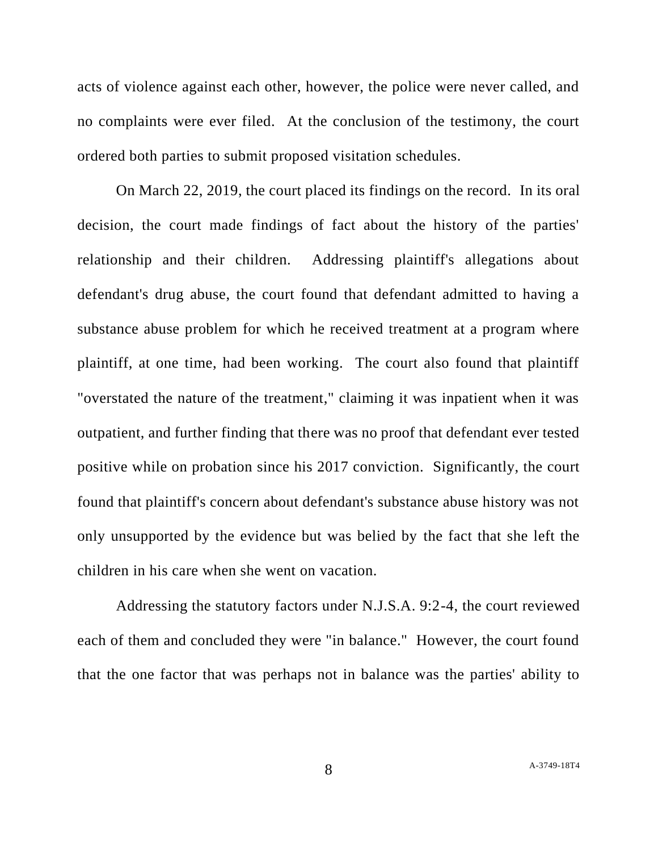acts of violence against each other, however, the police were never called, and no complaints were ever filed. At the conclusion of the testimony, the court ordered both parties to submit proposed visitation schedules.

On March 22, 2019, the court placed its findings on the record. In its oral decision, the court made findings of fact about the history of the parties' relationship and their children. Addressing plaintiff's allegations about defendant's drug abuse, the court found that defendant admitted to having a substance abuse problem for which he received treatment at a program where plaintiff, at one time, had been working. The court also found that plaintiff "overstated the nature of the treatment," claiming it was inpatient when it was outpatient, and further finding that there was no proof that defendant ever tested positive while on probation since his 2017 conviction. Significantly, the court found that plaintiff's concern about defendant's substance abuse history was not only unsupported by the evidence but was belied by the fact that she left the children in his care when she went on vacation.

Addressing the statutory factors under N.J.S.A. 9:2-4, the court reviewed each of them and concluded they were "in balance." However, the court found that the one factor that was perhaps not in balance was the parties' ability to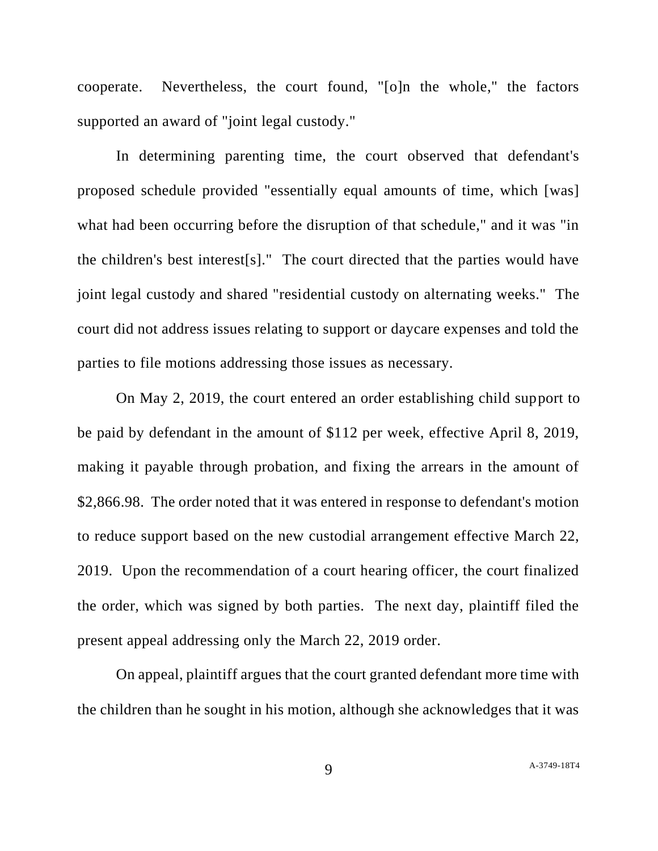cooperate. Nevertheless, the court found, "[o]n the whole," the factors supported an award of "joint legal custody."

In determining parenting time, the court observed that defendant's proposed schedule provided "essentially equal amounts of time, which [was] what had been occurring before the disruption of that schedule," and it was "in the children's best interest[s]." The court directed that the parties would have joint legal custody and shared "residential custody on alternating weeks." The court did not address issues relating to support or daycare expenses and told the parties to file motions addressing those issues as necessary.

On May 2, 2019, the court entered an order establishing child support to be paid by defendant in the amount of \$112 per week, effective April 8, 2019, making it payable through probation, and fixing the arrears in the amount of \$2,866.98. The order noted that it was entered in response to defendant's motion to reduce support based on the new custodial arrangement effective March 22, 2019. Upon the recommendation of a court hearing officer, the court finalized the order, which was signed by both parties. The next day, plaintiff filed the present appeal addressing only the March 22, 2019 order.

On appeal, plaintiff argues that the court granted defendant more time with the children than he sought in his motion, although she acknowledges that it was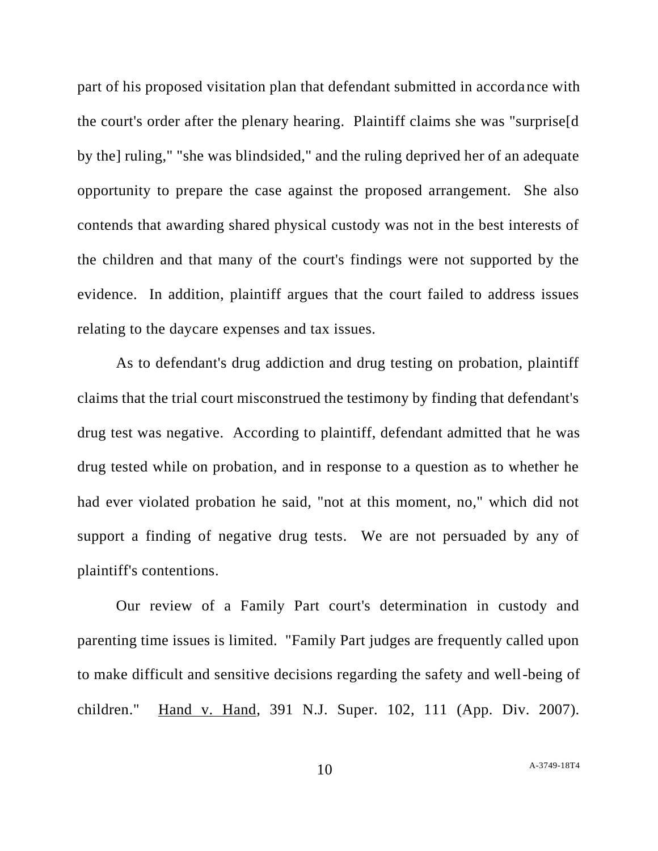part of his proposed visitation plan that defendant submitted in accordance with the court's order after the plenary hearing. Plaintiff claims she was "surprise[d by the] ruling," "she was blindsided," and the ruling deprived her of an adequate opportunity to prepare the case against the proposed arrangement. She also contends that awarding shared physical custody was not in the best interests of the children and that many of the court's findings were not supported by the evidence. In addition, plaintiff argues that the court failed to address issues relating to the daycare expenses and tax issues.

As to defendant's drug addiction and drug testing on probation, plaintiff claims that the trial court misconstrued the testimony by finding that defendant's drug test was negative. According to plaintiff, defendant admitted that he was drug tested while on probation, and in response to a question as to whether he had ever violated probation he said, "not at this moment, no," which did not support a finding of negative drug tests. We are not persuaded by any of plaintiff's contentions.

Our review of a Family Part court's determination in custody and parenting time issues is limited. "Family Part judges are frequently called upon to make difficult and sensitive decisions regarding the safety and well-being of children." Hand v. Hand, 391 N.J. Super. 102, 111 (App. Div. 2007).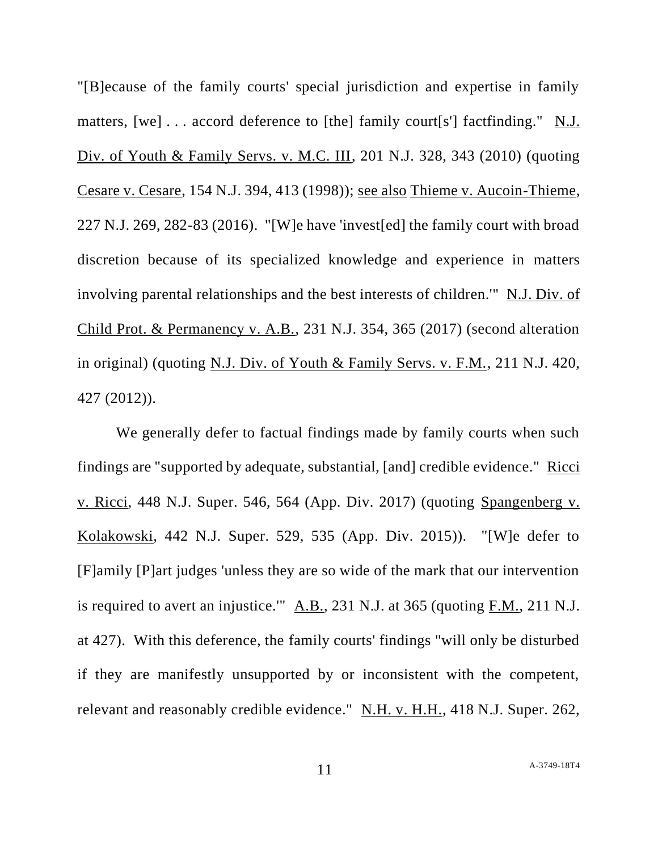"[B]ecause of the family courts' special jurisdiction and expertise in family matters, [we] . . . accord deference to [the] family court[s'] factfinding." N.J. Div. of Youth & Family Servs. v. M.C. III, 201 N.J. 328, 343 (2010) (quoting Cesare v. Cesare, 154 N.J. 394, 413 (1998)); see also Thieme v. Aucoin-Thieme, 227 N.J. 269, 282-83 (2016). "[W]e have 'invest[ed] the family court with broad discretion because of its specialized knowledge and experience in matters involving parental relationships and the best interests of children.'" N.J. Div. of Child Prot. & Permanency v. A.B., 231 N.J. 354, 365 (2017) (second alteration in original) (quoting N.J. Div. of Youth & Family Servs. v. F.M., 211 N.J. 420, 427 (2012)).

We generally defer to factual findings made by family courts when such findings are "supported by adequate, substantial, [and] credible evidence." Ricci v. Ricci, 448 N.J. Super. 546, 564 (App. Div. 2017) (quoting Spangenberg v. Kolakowski, 442 N.J. Super. 529, 535 (App. Div. 2015)). "[W]e defer to [F]amily [P]art judges 'unless they are so wide of the mark that our intervention is required to avert an injustice.'"  $\underline{A.B.,}$  231 N.J. at 365 (quoting  $F.M.,$  211 N.J. at 427). With this deference, the family courts' findings "will only be disturbed if they are manifestly unsupported by or inconsistent with the competent, relevant and reasonably credible evidence." N.H. v. H.H., 418 N.J. Super. 262,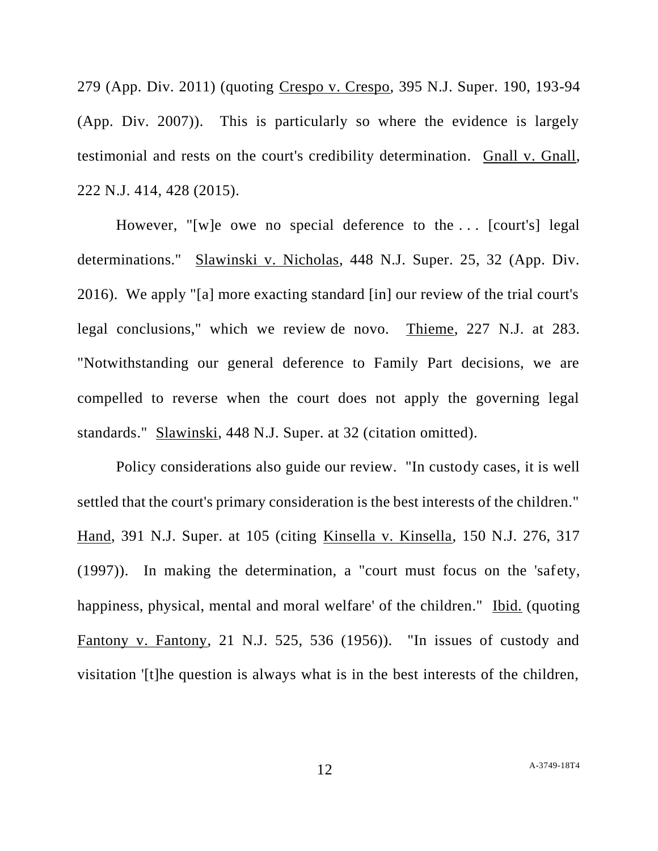279 (App. Div. 2011) (quoting Crespo v. Crespo, 395 N.J. Super. 190, 193-94 (App. Div. 2007)). This is particularly so where the evidence is largely testimonial and rests on the court's credibility determination. Gnall v. Gnall, 222 N.J. 414, 428 (2015).

However, "[w]e owe no special deference to the . . . [court's] legal determinations." Slawinski v. Nicholas, 448 N.J. Super. 25, 32 (App. Div. 2016). We apply "[a] more exacting standard [in] our review of the trial court's legal conclusions," which we review de novo. Thieme, 227 N.J. at 283. "Notwithstanding our general deference to Family Part decisions, we are compelled to reverse when the court does not apply the governing legal standards." Slawinski, 448 N.J. Super. at 32 (citation omitted).

Policy considerations also guide our review. "In custody cases, it is well settled that the court's primary consideration is the best interests of the children." Hand, 391 N.J. Super. at 105 (citing Kinsella v. Kinsella, 150 N.J. 276, 317 (1997)). In making the determination, a "court must focus on the 'safety, happiness, physical, mental and moral welfare' of the children." Ibid. (quoting Fantony v. Fantony, 21 N.J. 525, 536 (1956)). "In issues of custody and visitation '[t]he question is always what is in the best interests of the children,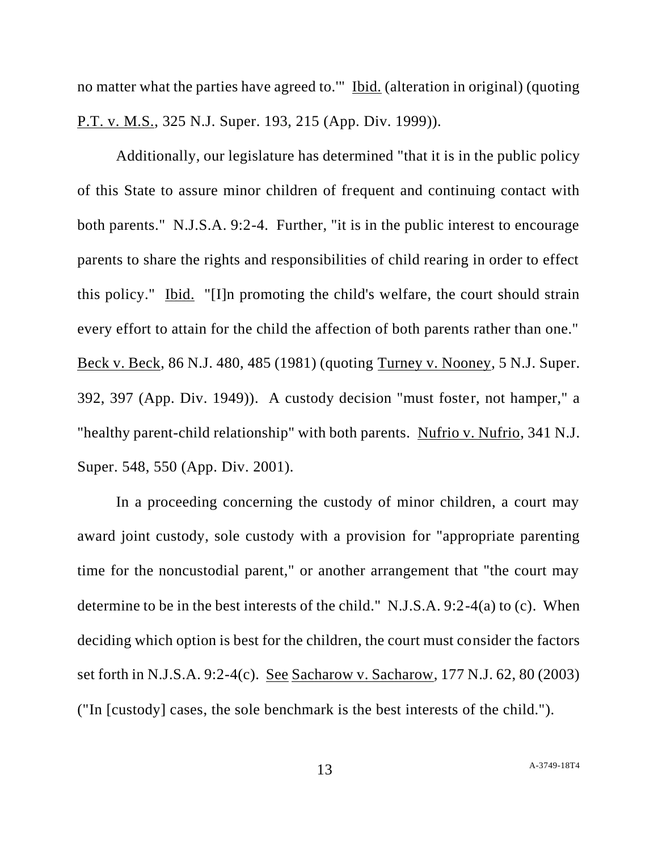no matter what the parties have agreed to.'" Ibid. (alteration in original) (quoting P.T. v. M.S., 325 N.J. Super. 193, 215 (App. Div. 1999)).

Additionally, our legislature has determined "that it is in the public policy of this State to assure minor children of frequent and continuing contact with both parents." N.J.S.A. 9:2-4. Further, "it is in the public interest to encourage parents to share the rights and responsibilities of child rearing in order to effect this policy." Ibid. "[I]n promoting the child's welfare, the court should strain every effort to attain for the child the affection of both parents rather than one." Beck v. Beck, 86 N.J. 480, 485 (1981) (quoting Turney v. Nooney, 5 N.J. Super. 392, 397 (App. Div. 1949)). A custody decision "must foster, not hamper," a "healthy parent-child relationship" with both parents. Nufrio v. Nufrio, 341 N.J. Super. 548, 550 (App. Div. 2001).

In a proceeding concerning the custody of minor children, a court may award joint custody, sole custody with a provision for "appropriate parenting time for the noncustodial parent," or another arrangement that "the court may determine to be in the best interests of the child." N.J.S.A. 9:2-4(a) to (c). When deciding which option is best for the children, the court must consider the factors set forth in N.J.S.A. 9:2-4(c). See Sacharow v. Sacharow, 177 N.J. 62, 80 (2003) ("In [custody] cases, the sole benchmark is the best interests of the child.").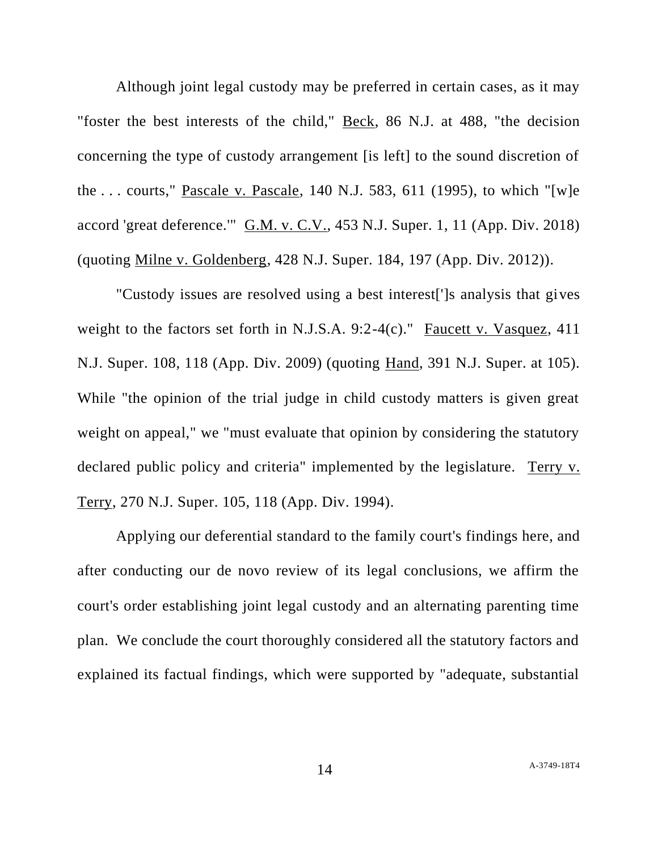Although joint legal custody may be preferred in certain cases, as it may "foster the best interests of the child," Beck, 86 N.J. at 488, "the decision concerning the type of custody arrangement [is left] to the sound discretion of the . . . courts," Pascale v. Pascale, 140 N.J. 583, 611 (1995), to which "[w]e accord 'great deference.'" G.M. v. C.V., 453 N.J. Super. 1, 11 (App. Div. 2018) (quoting Milne v. Goldenberg, 428 N.J. Super. 184, 197 (App. Div. 2012)).

"Custody issues are resolved using a best interest[']s analysis that gives weight to the factors set forth in N.J.S.A. 9:2-4(c)." Faucett v. Vasquez, 411 N.J. Super. 108, 118 (App. Div. 2009) (quoting Hand, 391 N.J. Super. at 105). While "the opinion of the trial judge in child custody matters is given great weight on appeal," we "must evaluate that opinion by considering the statutory declared public policy and criteria" implemented by the legislature. Terry v. Terry, 270 N.J. Super. 105, 118 (App. Div. 1994).

Applying our deferential standard to the family court's findings here, and after conducting our de novo review of its legal conclusions, we affirm the court's order establishing joint legal custody and an alternating parenting time plan. We conclude the court thoroughly considered all the statutory factors and explained its factual findings, which were supported by "adequate, substantial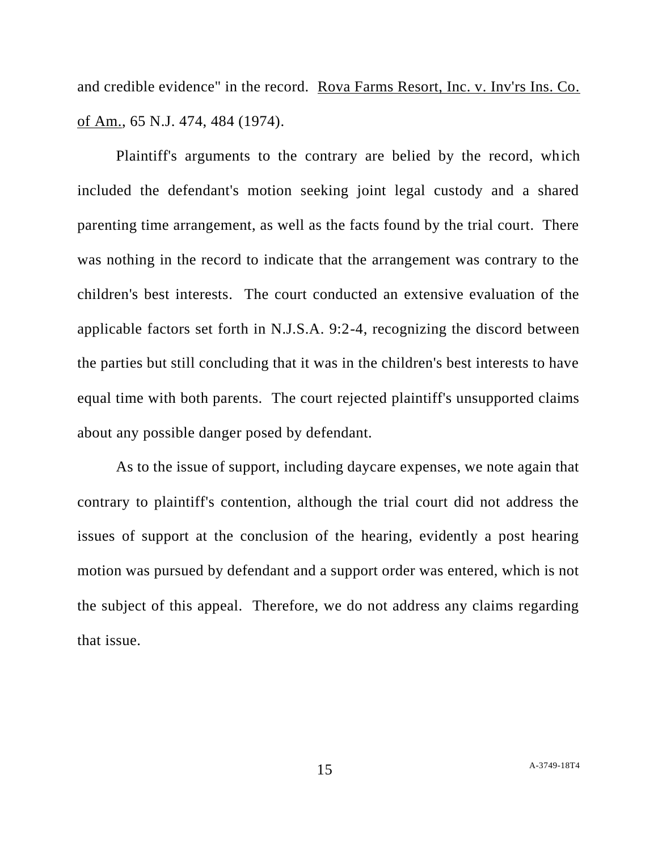and credible evidence" in the record. Rova Farms Resort, Inc. v. Inv'rs Ins. Co. of Am., 65 N.J. 474, 484 (1974).

Plaintiff's arguments to the contrary are belied by the record, which included the defendant's motion seeking joint legal custody and a shared parenting time arrangement, as well as the facts found by the trial court. There was nothing in the record to indicate that the arrangement was contrary to the children's best interests. The court conducted an extensive evaluation of the applicable factors set forth in N.J.S.A. 9:2-4, recognizing the discord between the parties but still concluding that it was in the children's best interests to have equal time with both parents. The court rejected plaintiff's unsupported claims about any possible danger posed by defendant.

As to the issue of support, including daycare expenses, we note again that contrary to plaintiff's contention, although the trial court did not address the issues of support at the conclusion of the hearing, evidently a post hearing motion was pursued by defendant and a support order was entered, which is not the subject of this appeal. Therefore, we do not address any claims regarding that issue.